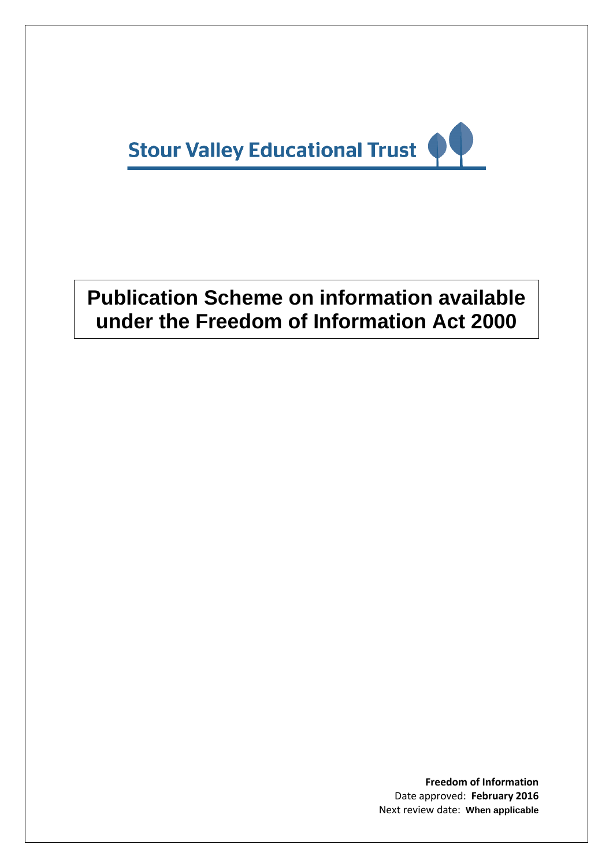

# **Publication Scheme on information available under the Freedom of Information Act 2000**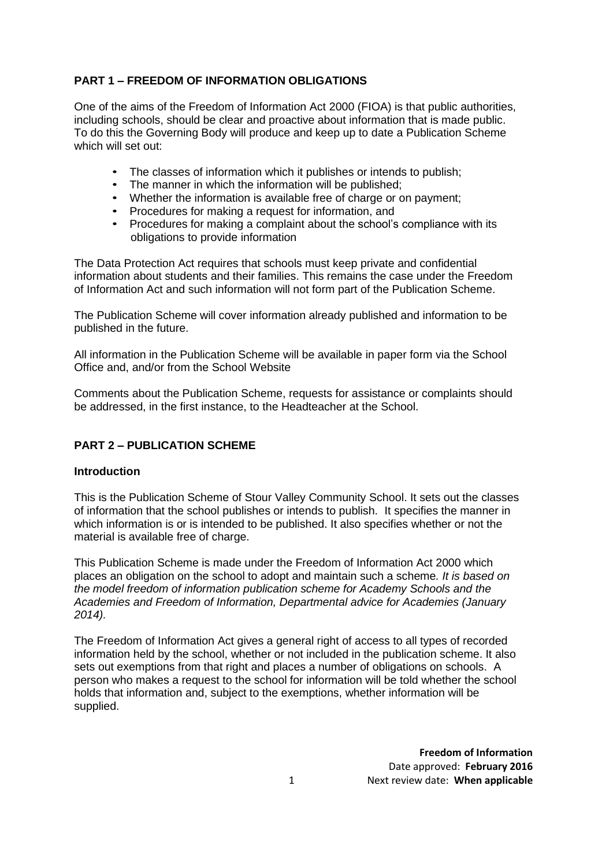# **PART 1 – FREEDOM OF INFORMATION OBLIGATIONS**

One of the aims of the Freedom of Information Act 2000 (FIOA) is that public authorities, including schools, should be clear and proactive about information that is made public. To do this the Governing Body will produce and keep up to date a Publication Scheme which will set out:

- The classes of information which it publishes or intends to publish;
- The manner in which the information will be published;
- Whether the information is available free of charge or on payment;
- Procedures for making a request for information, and
- Procedures for making a complaint about the school's compliance with its obligations to provide information

The Data Protection Act requires that schools must keep private and confidential information about students and their families. This remains the case under the Freedom of Information Act and such information will not form part of the Publication Scheme.

The Publication Scheme will cover information already published and information to be published in the future.

All information in the Publication Scheme will be available in paper form via the School Office and, and/or from the School Website

Comments about the Publication Scheme, requests for assistance or complaints should be addressed, in the first instance, to the Headteacher at the School.

# **PART 2 – PUBLICATION SCHEME**

#### **Introduction**

This is the Publication Scheme of Stour Valley Community School. It sets out the classes of information that the school publishes or intends to publish. It specifies the manner in which information is or is intended to be published. It also specifies whether or not the material is available free of charge.

This Publication Scheme is made under the Freedom of Information Act 2000 which places an obligation on the school to adopt and maintain such a scheme*. It is based on the model freedom of information publication scheme for Academy Schools and the Academies and Freedom of Information, Departmental advice for Academies (January 2014).*

The Freedom of Information Act gives a general right of access to all types of recorded information held by the school, whether or not included in the publication scheme. It also sets out exemptions from that right and places a number of obligations on schools. A person who makes a request to the school for information will be told whether the school holds that information and, subject to the exemptions, whether information will be supplied.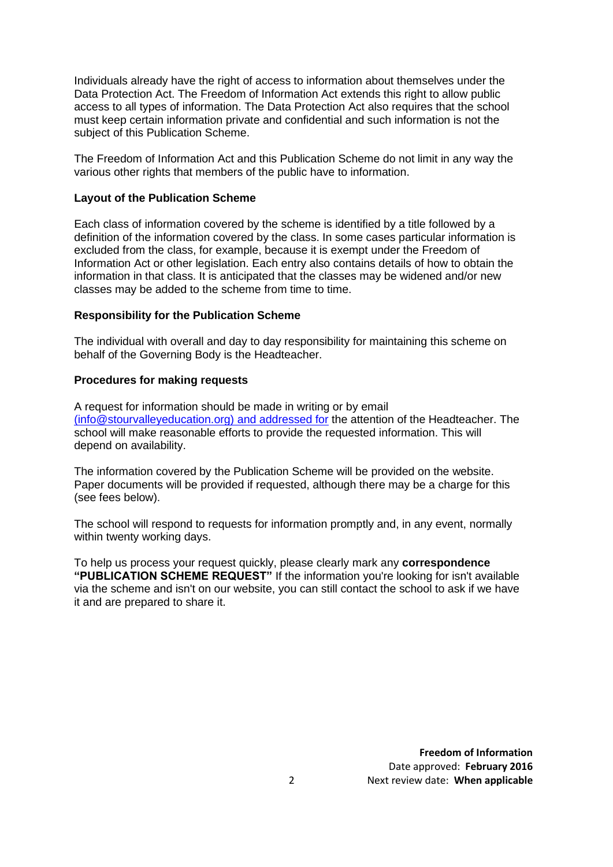Individuals already have the right of access to information about themselves under the Data Protection Act. The Freedom of Information Act extends this right to allow public access to all types of information. The Data Protection Act also requires that the school must keep certain information private and confidential and such information is not the subject of this Publication Scheme.

The Freedom of Information Act and this Publication Scheme do not limit in any way the various other rights that members of the public have to information.

## **Layout of the Publication Scheme**

Each class of information covered by the scheme is identified by a title followed by a definition of the information covered by the class. In some cases particular information is excluded from the class, for example, because it is exempt under the Freedom of Information Act or other legislation. Each entry also contains details of how to obtain the information in that class. It is anticipated that the classes may be widened and/or new classes may be added to the scheme from time to time.

#### **Responsibility for the Publication Scheme**

The individual with overall and day to day responsibility for maintaining this scheme on behalf of the Governing Body is the Headteacher.

#### **Procedures for making requests**

A request for information should be made in writing or by email [\(info@stourvalleyeducation.org\) and addressed for](mailto:(info@stourvalleyeducation.org)%20and%20addressed%20for) the attention of the Headteacher. The school will make reasonable efforts to provide the requested information. This will depend on availability.

The information covered by the Publication Scheme will be provided on the website. Paper documents will be provided if requested, although there may be a charge for this (see fees below).

The school will respond to requests for information promptly and, in any event, normally within twenty working days.

To help us process your request quickly, please clearly mark any **correspondence "PUBLICATION SCHEME REQUEST"** If the information you're looking for isn't available via the scheme and isn't on our website, you can still contact the school to ask if we have it and are prepared to share it.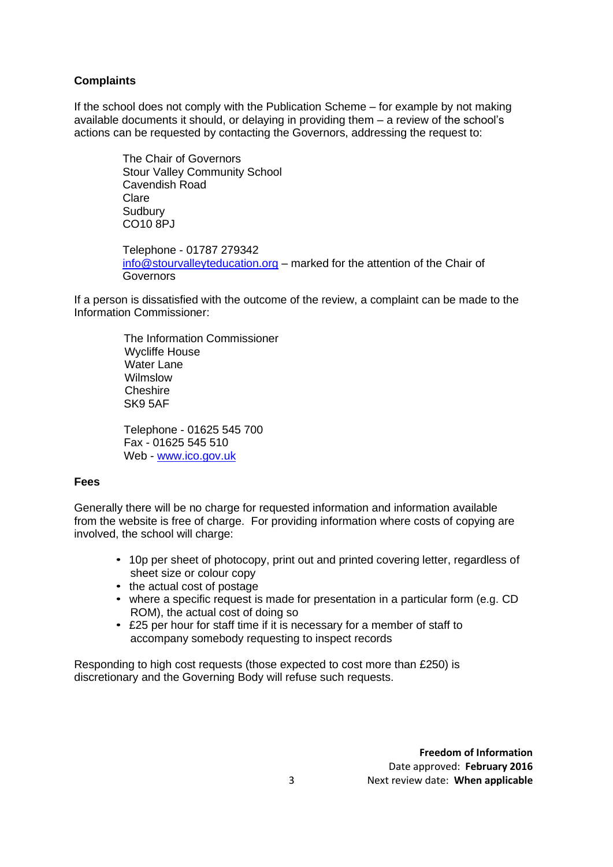# **Complaints**

If the school does not comply with the Publication Scheme – for example by not making available documents it should, or delaying in providing them – a review of the school's actions can be requested by contacting the Governors, addressing the request to:

> The Chair of Governors Stour Valley Community School Cavendish Road Clare **Sudbury** CO10 8PJ

Telephone - 01787 279342 [info@stourvalleyteducation.org](mailto:info@stourvalleyteducation.org) – marked for the attention of the Chair of **Governors** 

If a person is dissatisfied with the outcome of the review, a complaint can be made to the Information Commissioner:

> The Information Commissioner Wycliffe House Water Lane Wilmslow Cheshire SK9 5AF

 Telephone - 01625 545 700 Fax - 01625 545 510 Web - [www.ico.gov.uk](http://www.ico.gov.uk/)

# **Fees**

Generally there will be no charge for requested information and information available from the website is free of charge. For providing information where costs of copying are involved, the school will charge:

- 10p per sheet of photocopy, print out and printed covering letter, regardless of sheet size or colour copy
- the actual cost of postage
- where a specific request is made for presentation in a particular form (e.g. CD ROM), the actual cost of doing so
- £25 per hour for staff time if it is necessary for a member of staff to accompany somebody requesting to inspect records

Responding to high cost requests (those expected to cost more than £250) is discretionary and the Governing Body will refuse such requests.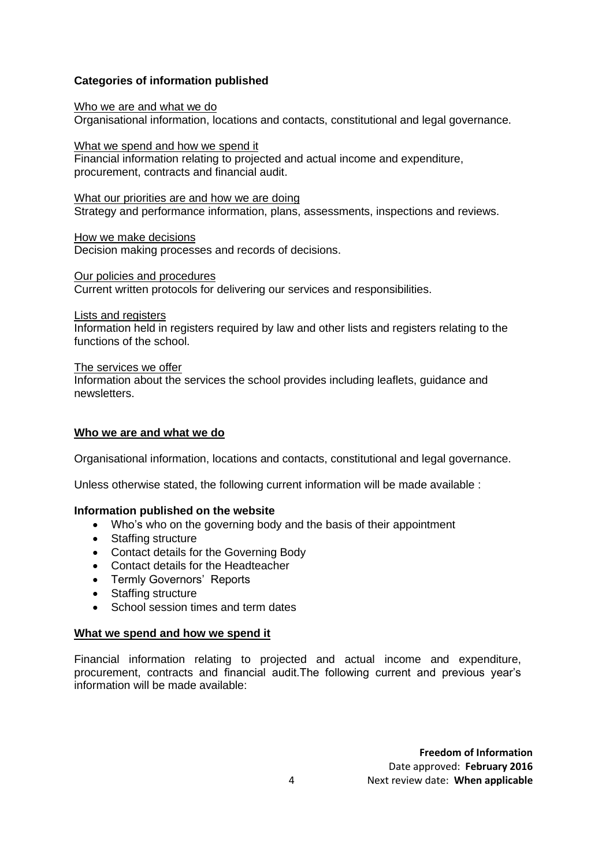# **Categories of information published**

[Who we are and what](http://www.qpcsgovernors.org/who-we-are.html) we do Organisational information, locations and contacts, constitutional and legal governance.

[What we spend and](http://www.qpcsgovernors.org/what-we-spend.html) how we spend it

Financial information relating to projected and actual income and expenditure, procurement, contracts and financial audit.

[What our priorities are and how we are doing](http://www.qpcsgovernors.org/priorities.html) Strategy and performance information, plans, assessments, inspections and reviews.

[How we make](http://www.qpcsgovernors.org/decisions.html) decisions Decision making processes and records of decisions.

[Our policies and procedures](http://www.qpcsgovernors.org/policies-and-procedures.html) Current written protocols for delivering our services and responsibilities.

[Lists and registers](http://www.qpcsgovernors.org/lists-and-registers.html)

Information held in registers required by law and other lists and registers relating to the functions of the school.

[The services we offer](http://www.qpcsgovernors.org/services-we-offer.html)

Information about the services the school provides including leaflets, guidance and newsletters.

## **Who we are and what we do**

Organisational information, locations and contacts, constitutional and legal governance.

Unless otherwise stated, the following current information will be made available :

# **Information published on the website**

- Who's who on the governing body and the basis of their appointment
- Staffing structure
- Contact details for the Governing Body
- Contact details for the Headteacher
- Termly Governors' Reports
- Staffing structure
- School session times and term dates

#### **What we spend and how we spend it**

Financial information relating to projected and actual income and expenditure, procurement, contracts and financial audit.The following current and previous year's information will be made available: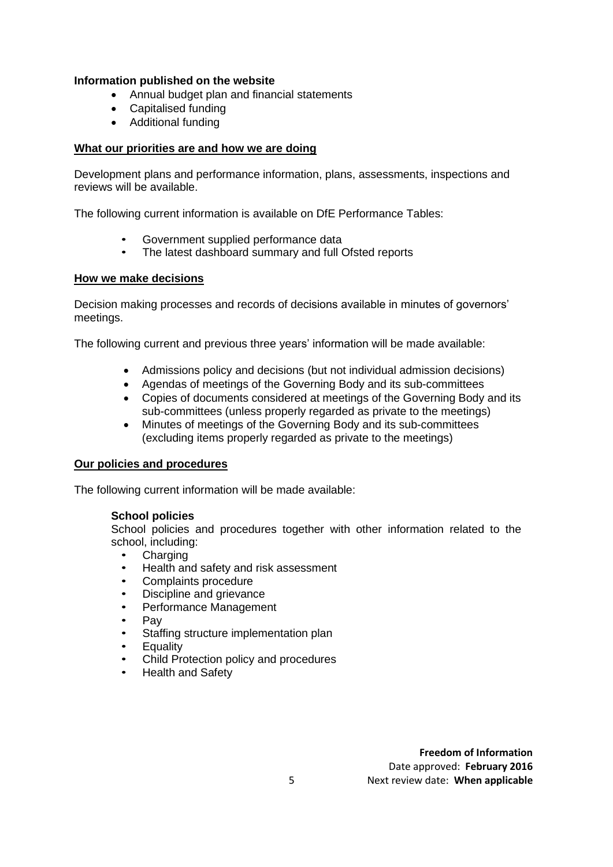## **Information published on the website**

- Annual budget plan and financial statements
- Capitalised funding
- Additional funding

# **[What our priorities are and how we are doing](http://www.qpcsgovernors.org/priorities.html)**

Development plans and performance information, plans, assessments, inspections and reviews will be available.

The following current information is available on DfE Performance Tables:

- Government supplied performance data
- The latest dashboard summary and full Ofsted reports

## **How [we make decisions](http://www.qpcsgovernors.org/decisions.html)**

Decision making processes and records of decisions available in minutes of governors' meetings.

The following current and previous three years' information will be made available:

- Admissions policy and decisions (but not individual admission decisions)
- Agendas of meetings of the Governing Body and its sub-committees
- Copies of documents considered at meetings of the Governing Body and its sub-committees (unless properly regarded as private to the meetings)
- Minutes of meetings of the Governing Body and its sub-committees (excluding items properly regarded as private to the meetings)

#### **[Our policies and procedures](http://www.qpcsgovernors.org/policies-and-procedures.html)**

The following current information will be made available:

#### **School policies**

School policies and procedures together with other information related to the school, including:

- **Charging**
- Health and safety and risk assessment
- Complaints procedure
- Discipline and grievance
- Performance Management
- Pay
- Staffing structure implementation plan
- **Equality**
- Child Protection policy and procedures
- Health and Safety